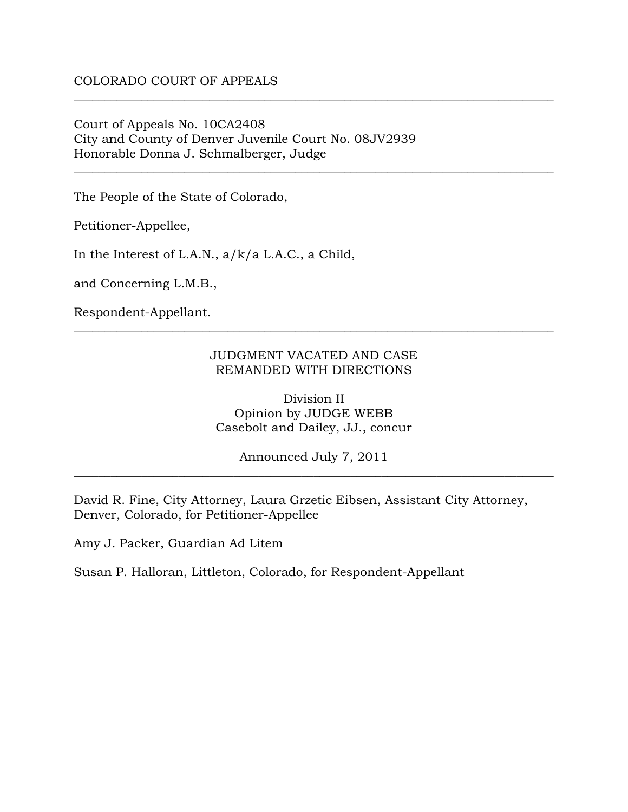### COLORADO COURT OF APPEALS

Court of Appeals No. 10CA2408 City and County of Denver Juvenile Court No. 08JV2939 Honorable Donna J. Schmalberger, Judge

The People of the State of Colorado,

Petitioner-Appellee,

In the Interest of L.A.N., a/k/a L.A.C., a Child,

and Concerning L.M.B.,

Respondent-Appellant.

#### JUDGMENT VACATED AND CASE REMANDED WITH DIRECTIONS

\_\_\_\_\_\_\_\_\_\_\_\_\_\_\_\_\_\_\_\_\_\_\_\_\_\_\_\_\_\_\_\_\_\_\_\_\_\_\_\_\_\_\_\_\_\_\_\_\_\_\_\_\_\_\_\_\_\_\_\_\_\_\_\_\_\_\_\_\_\_\_\_\_\_\_\_\_\_

\_\_\_\_\_\_\_\_\_\_\_\_\_\_\_\_\_\_\_\_\_\_\_\_\_\_\_\_\_\_\_\_\_\_\_\_\_\_\_\_\_\_\_\_\_\_\_\_\_\_\_\_\_\_\_\_\_\_\_\_\_\_\_\_\_\_\_\_\_\_\_\_\_\_\_\_\_\_

\_\_\_\_\_\_\_\_\_\_\_\_\_\_\_\_\_\_\_\_\_\_\_\_\_\_\_\_\_\_\_\_\_\_\_\_\_\_\_\_\_\_\_\_\_\_\_\_\_\_\_\_\_\_\_\_\_\_\_\_\_\_\_\_\_\_\_\_\_\_\_\_\_\_\_\_\_\_

Division II Opinion by JUDGE WEBB Casebolt and Dailey, JJ., concur

Announced July 7, 2011 \_\_\_\_\_\_\_\_\_\_\_\_\_\_\_\_\_\_\_\_\_\_\_\_\_\_\_\_\_\_\_\_\_\_\_\_\_\_\_\_\_\_\_\_\_\_\_\_\_\_\_\_\_\_\_\_\_\_\_\_\_\_\_\_\_\_\_\_\_\_\_\_\_\_\_\_\_\_

David R. Fine, City Attorney, Laura Grzetic Eibsen, Assistant City Attorney, Denver, Colorado, for Petitioner-Appellee

Amy J. Packer, Guardian Ad Litem

Susan P. Halloran, Littleton, Colorado, for Respondent-Appellant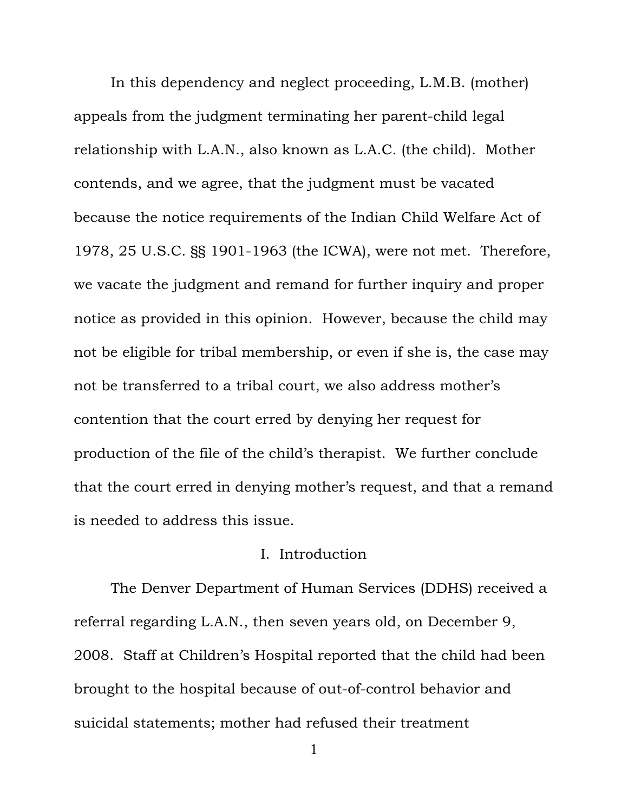In this dependency and neglect proceeding, L.M.B. (mother) appeals from the judgment terminating her parent-child legal relationship with L.A.N., also known as L.A.C. (the child). Mother contends, and we agree, that the judgment must be vacated because the notice requirements of the Indian Child Welfare Act of 1978, 25 U.S.C. §§ 1901-1963 (the ICWA), were not met. Therefore, we vacate the judgment and remand for further inquiry and proper notice as provided in this opinion. However, because the child may not be eligible for tribal membership, or even if she is, the case may not be transferred to a tribal court, we also address mother's contention that the court erred by denying her request for production of the file of the child's therapist. We further conclude that the court erred in denying mother's request, and that a remand is needed to address this issue.

## I. Introduction

The Denver Department of Human Services (DDHS) received a referral regarding L.A.N., then seven years old, on December 9, 2008. Staff at Children's Hospital reported that the child had been brought to the hospital because of out-of-control behavior and suicidal statements; mother had refused their treatment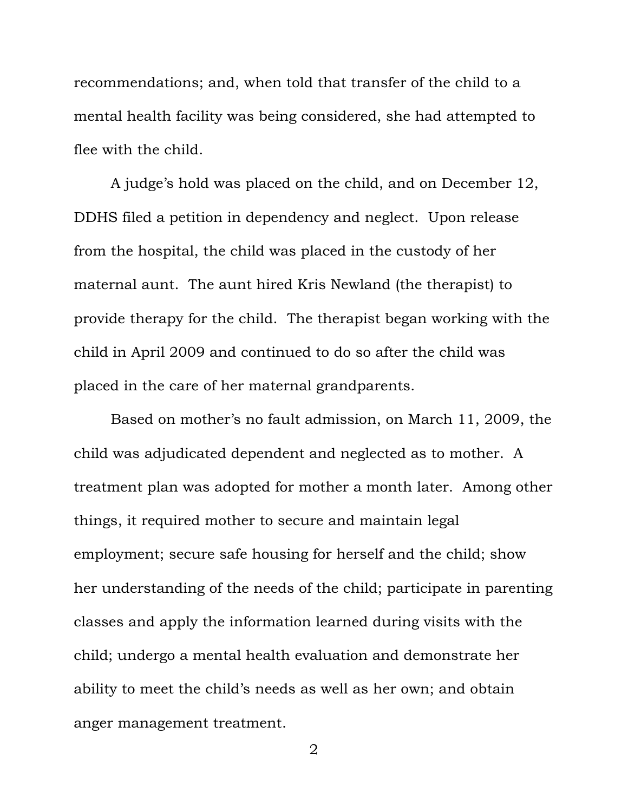recommendations; and, when told that transfer of the child to a mental health facility was being considered, she had attempted to flee with the child.

A judge's hold was placed on the child, and on December 12, DDHS filed a petition in dependency and neglect. Upon release from the hospital, the child was placed in the custody of her maternal aunt. The aunt hired Kris Newland (the therapist) to provide therapy for the child. The therapist began working with the child in April 2009 and continued to do so after the child was placed in the care of her maternal grandparents.

Based on mother's no fault admission, on March 11, 2009, the child was adjudicated dependent and neglected as to mother. A treatment plan was adopted for mother a month later. Among other things, it required mother to secure and maintain legal employment; secure safe housing for herself and the child; show her understanding of the needs of the child; participate in parenting classes and apply the information learned during visits with the child; undergo a mental health evaluation and demonstrate her ability to meet the child's needs as well as her own; and obtain anger management treatment.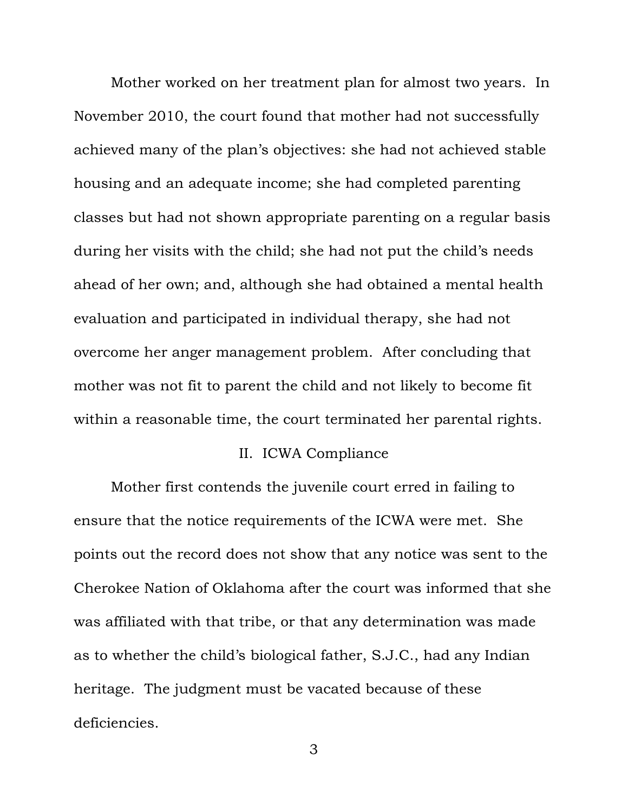Mother worked on her treatment plan for almost two years. In November 2010, the court found that mother had not successfully achieved many of the plan's objectives: she had not achieved stable housing and an adequate income; she had completed parenting classes but had not shown appropriate parenting on a regular basis during her visits with the child; she had not put the child's needs ahead of her own; and, although she had obtained a mental health evaluation and participated in individual therapy, she had not overcome her anger management problem. After concluding that mother was not fit to parent the child and not likely to become fit within a reasonable time, the court terminated her parental rights.

# II. ICWA Compliance

Mother first contends the juvenile court erred in failing to ensure that the notice requirements of the ICWA were met. She points out the record does not show that any notice was sent to the Cherokee Nation of Oklahoma after the court was informed that she was affiliated with that tribe, or that any determination was made as to whether the child's biological father, S.J.C., had any Indian heritage. The judgment must be vacated because of these deficiencies.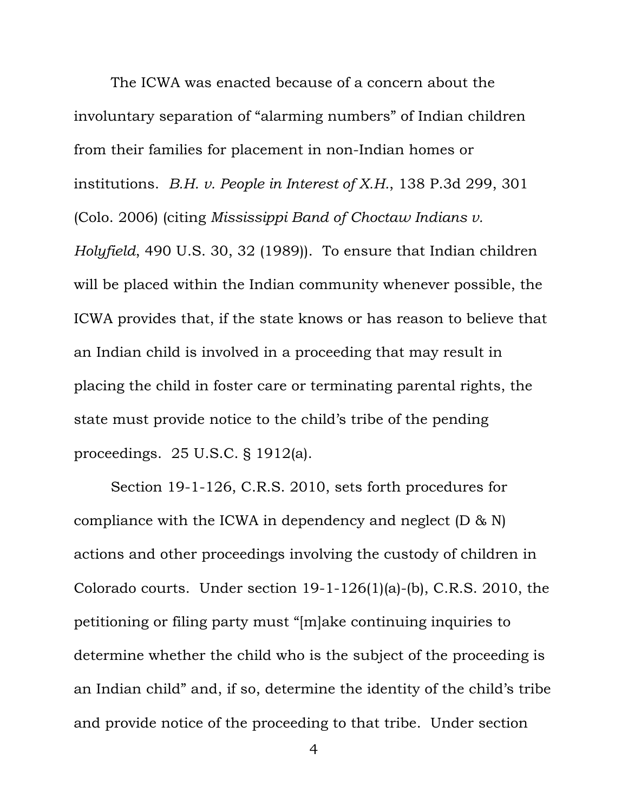The ICWA was enacted because of a concern about the involuntary separation of "alarming numbers" of Indian children from their families for placement in non-Indian homes or institutions. *B.H. v. People in Interest of X.H.*, 138 P.3d 299, 301 (Colo. 2006) (citing *Mississippi Band of Choctaw Indians v. Holyfield*, 490 U.S. 30, 32 (1989)). To ensure that Indian children will be placed within the Indian community whenever possible, the ICWA provides that, if the state knows or has reason to believe that

an Indian child is involved in a proceeding that may result in placing the child in foster care or terminating parental rights, the state must provide notice to the child's tribe of the pending proceedings. 25 U.S.C. § 1912(a).

Section 19-1-126, C.R.S. 2010, sets forth procedures for compliance with the ICWA in dependency and neglect (D & N) actions and other proceedings involving the custody of children in Colorado courts. Under section 19-1-126(1)(a)-(b), C.R.S. 2010, the petitioning or filing party must "[m]ake continuing inquiries to determine whether the child who is the subject of the proceeding is an Indian child" and, if so, determine the identity of the child's tribe and provide notice of the proceeding to that tribe. Under section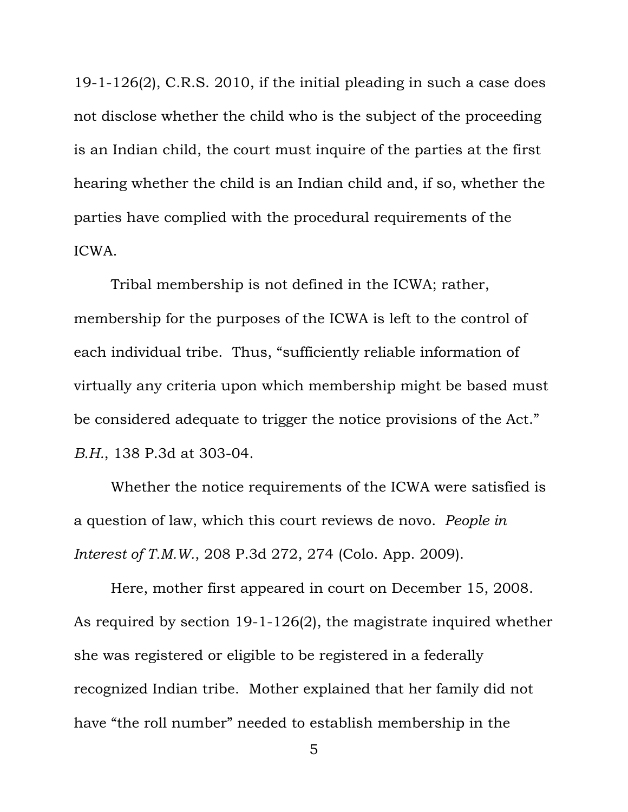19-1-126(2), C.R.S. 2010, if the initial pleading in such a case does not disclose whether the child who is the subject of the proceeding is an Indian child, the court must inquire of the parties at the first hearing whether the child is an Indian child and, if so, whether the parties have complied with the procedural requirements of the ICWA.

Tribal membership is not defined in the ICWA; rather, membership for the purposes of the ICWA is left to the control of each individual tribe. Thus, "sufficiently reliable information of virtually any criteria upon which membership might be based must be considered adequate to trigger the notice provisions of the Act." *B.H.*, 138 P.3d at 303-04.

Whether the notice requirements of the ICWA were satisfied is a question of law, which this court reviews de novo. *People in Interest of T.M.W.*, 208 P.3d 272, 274 (Colo. App. 2009).

Here, mother first appeared in court on December 15, 2008. As required by section 19-1-126(2), the magistrate inquired whether she was registered or eligible to be registered in a federally recognized Indian tribe. Mother explained that her family did not have "the roll number" needed to establish membership in the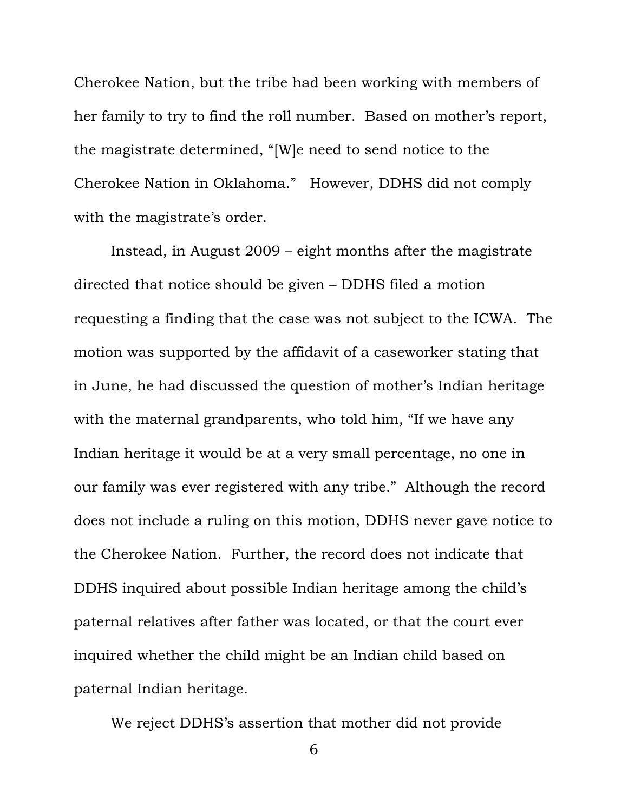Cherokee Nation, but the tribe had been working with members of her family to try to find the roll number. Based on mother's report, the magistrate determined, "[W]e need to send notice to the Cherokee Nation in Oklahoma." However, DDHS did not comply with the magistrate's order.

Instead, in August 2009 – eight months after the magistrate directed that notice should be given – DDHS filed a motion requesting a finding that the case was not subject to the ICWA. The motion was supported by the affidavit of a caseworker stating that in June, he had discussed the question of mother's Indian heritage with the maternal grandparents, who told him, "If we have any Indian heritage it would be at a very small percentage, no one in our family was ever registered with any tribe." Although the record does not include a ruling on this motion, DDHS never gave notice to the Cherokee Nation. Further, the record does not indicate that DDHS inquired about possible Indian heritage among the child's paternal relatives after father was located, or that the court ever inquired whether the child might be an Indian child based on paternal Indian heritage.

We reject DDHS's assertion that mother did not provide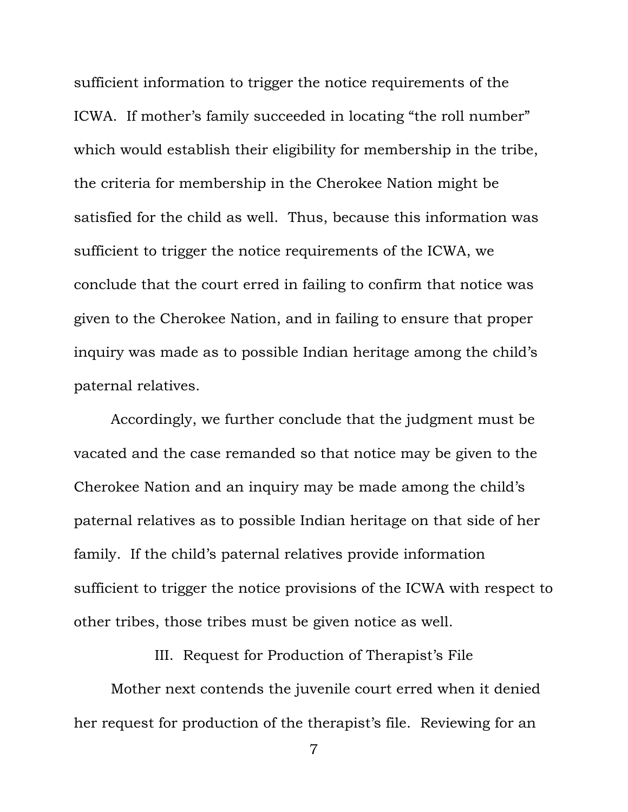sufficient information to trigger the notice requirements of the ICWA. If mother's family succeeded in locating "the roll number" which would establish their eligibility for membership in the tribe, the criteria for membership in the Cherokee Nation might be satisfied for the child as well. Thus, because this information was sufficient to trigger the notice requirements of the ICWA, we conclude that the court erred in failing to confirm that notice was given to the Cherokee Nation, and in failing to ensure that proper inquiry was made as to possible Indian heritage among the child's paternal relatives.

Accordingly, we further conclude that the judgment must be vacated and the case remanded so that notice may be given to the Cherokee Nation and an inquiry may be made among the child's paternal relatives as to possible Indian heritage on that side of her family. If the child's paternal relatives provide information sufficient to trigger the notice provisions of the ICWA with respect to other tribes, those tribes must be given notice as well.

III. Request for Production of Therapist's File

Mother next contends the juvenile court erred when it denied her request for production of the therapist's file. Reviewing for an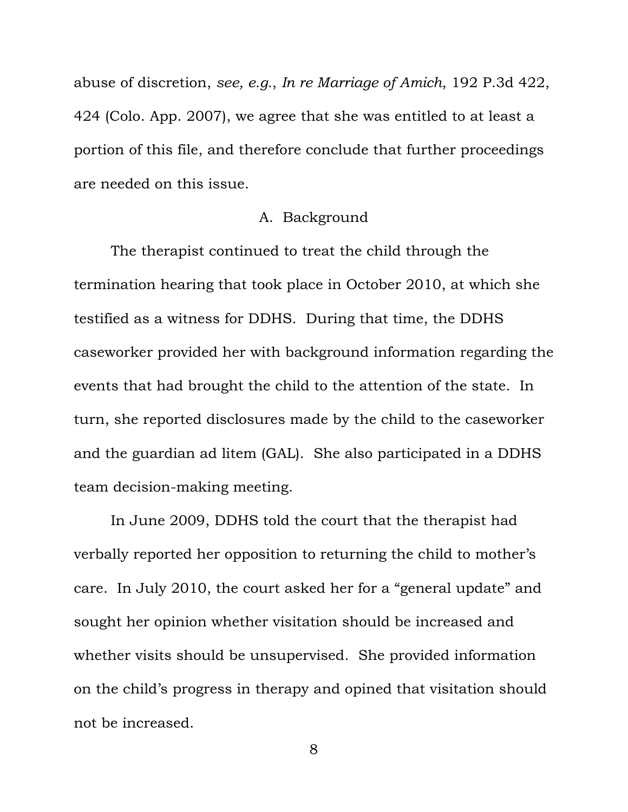abuse of discretion, *see, e.g.*, *In re Marriage of Amich*, 192 P.3d 422, 424 (Colo. App. 2007), we agree that she was entitled to at least a portion of this file, and therefore conclude that further proceedings are needed on this issue.

## A. Background

The therapist continued to treat the child through the termination hearing that took place in October 2010, at which she testified as a witness for DDHS. During that time, the DDHS caseworker provided her with background information regarding the events that had brought the child to the attention of the state. In turn, she reported disclosures made by the child to the caseworker and the guardian ad litem (GAL). She also participated in a DDHS team decision-making meeting.

In June 2009, DDHS told the court that the therapist had verbally reported her opposition to returning the child to mother's care. In July 2010, the court asked her for a "general update" and sought her opinion whether visitation should be increased and whether visits should be unsupervised. She provided information on the child's progress in therapy and opined that visitation should not be increased.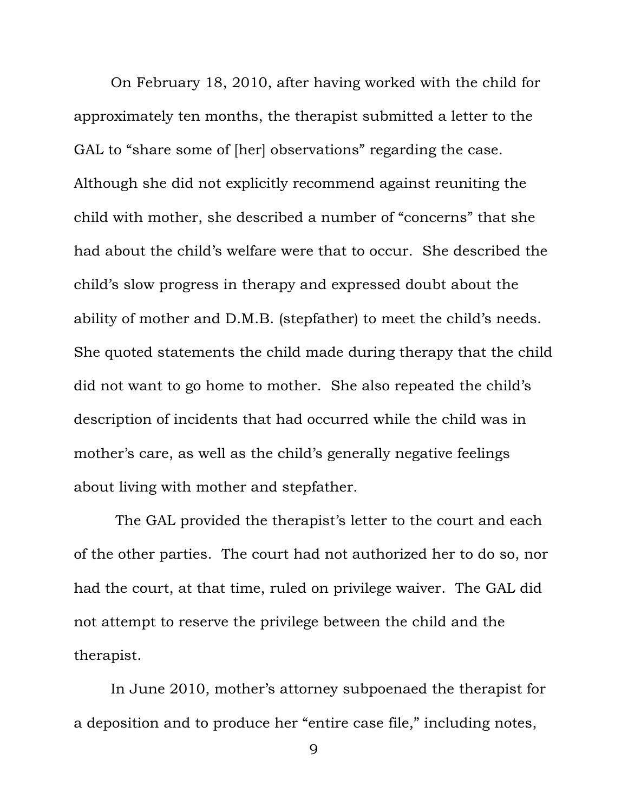On February 18, 2010, after having worked with the child for approximately ten months, the therapist submitted a letter to the GAL to "share some of [her] observations" regarding the case. Although she did not explicitly recommend against reuniting the child with mother, she described a number of "concerns" that she had about the child's welfare were that to occur. She described the child's slow progress in therapy and expressed doubt about the ability of mother and D.M.B. (stepfather) to meet the child's needs. She quoted statements the child made during therapy that the child did not want to go home to mother. She also repeated the child's description of incidents that had occurred while the child was in mother's care, as well as the child's generally negative feelings about living with mother and stepfather.

 The GAL provided the therapist's letter to the court and each of the other parties. The court had not authorized her to do so, nor had the court, at that time, ruled on privilege waiver. The GAL did not attempt to reserve the privilege between the child and the therapist.

In June 2010, mother's attorney subpoenaed the therapist for a deposition and to produce her "entire case file," including notes,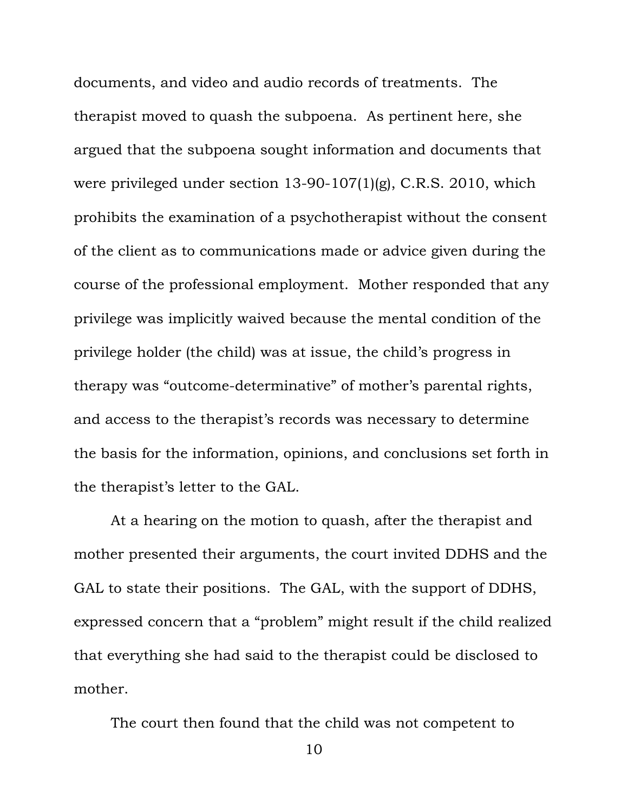documents, and video and audio records of treatments. The therapist moved to quash the subpoena. As pertinent here, she argued that the subpoena sought information and documents that were privileged under section 13-90-107(1)(g), C.R.S. 2010, which prohibits the examination of a psychotherapist without the consent of the client as to communications made or advice given during the course of the professional employment. Mother responded that any privilege was implicitly waived because the mental condition of the privilege holder (the child) was at issue, the child's progress in therapy was "outcome-determinative" of mother's parental rights, and access to the therapist's records was necessary to determine the basis for the information, opinions, and conclusions set forth in the therapist's letter to the GAL.

At a hearing on the motion to quash, after the therapist and mother presented their arguments, the court invited DDHS and the GAL to state their positions. The GAL, with the support of DDHS, expressed concern that a "problem" might result if the child realized that everything she had said to the therapist could be disclosed to mother.

The court then found that the child was not competent to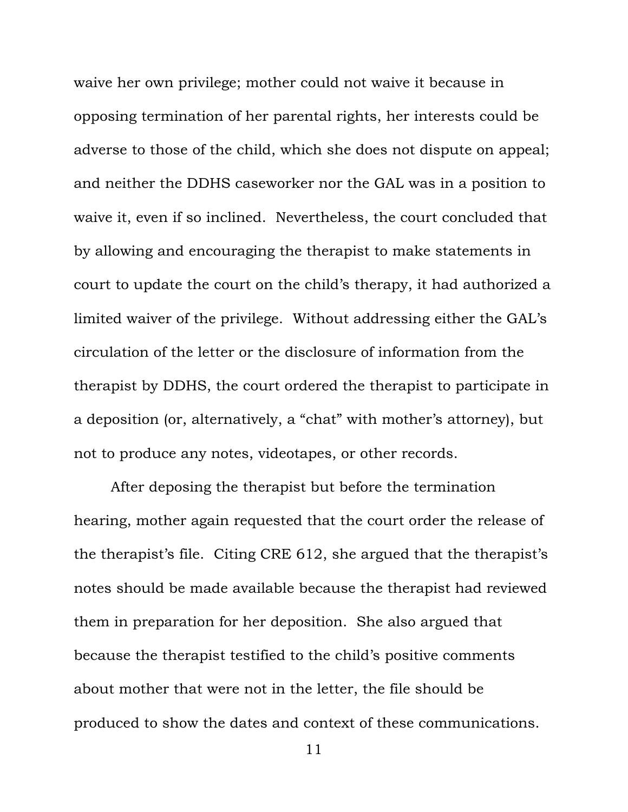waive her own privilege; mother could not waive it because in opposing termination of her parental rights, her interests could be adverse to those of the child, which she does not dispute on appeal; and neither the DDHS caseworker nor the GAL was in a position to waive it, even if so inclined. Nevertheless, the court concluded that by allowing and encouraging the therapist to make statements in court to update the court on the child's therapy, it had authorized a limited waiver of the privilege. Without addressing either the GAL's circulation of the letter or the disclosure of information from the therapist by DDHS, the court ordered the therapist to participate in a deposition (or, alternatively, a "chat" with mother's attorney), but not to produce any notes, videotapes, or other records.

After deposing the therapist but before the termination hearing, mother again requested that the court order the release of the therapist's file. Citing CRE 612, she argued that the therapist's notes should be made available because the therapist had reviewed them in preparation for her deposition. She also argued that because the therapist testified to the child's positive comments about mother that were not in the letter, the file should be produced to show the dates and context of these communications.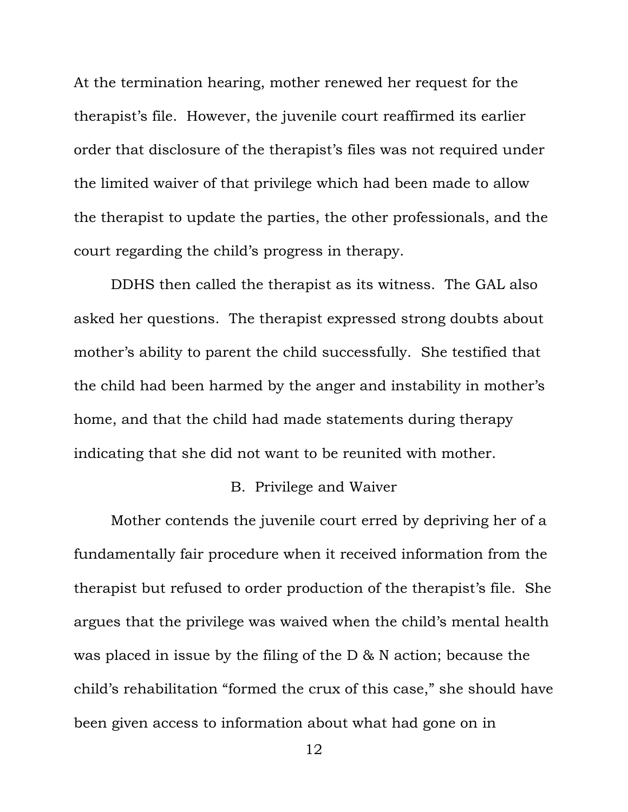At the termination hearing, mother renewed her request for the therapist's file. However, the juvenile court reaffirmed its earlier order that disclosure of the therapist's files was not required under the limited waiver of that privilege which had been made to allow the therapist to update the parties, the other professionals, and the court regarding the child's progress in therapy.

DDHS then called the therapist as its witness. The GAL also asked her questions. The therapist expressed strong doubts about mother's ability to parent the child successfully. She testified that the child had been harmed by the anger and instability in mother's home, and that the child had made statements during therapy indicating that she did not want to be reunited with mother.

# B. Privilege and Waiver

Mother contends the juvenile court erred by depriving her of a fundamentally fair procedure when it received information from the therapist but refused to order production of the therapist's file. She argues that the privilege was waived when the child's mental health was placed in issue by the filing of the D & N action; because the child's rehabilitation "formed the crux of this case," she should have been given access to information about what had gone on in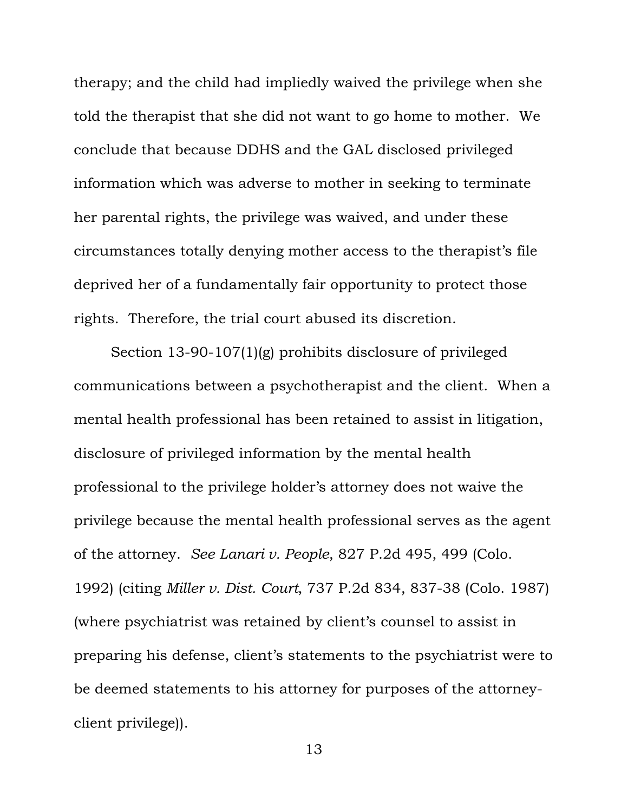therapy; and the child had impliedly waived the privilege when she told the therapist that she did not want to go home to mother. We conclude that because DDHS and the GAL disclosed privileged information which was adverse to mother in seeking to terminate her parental rights, the privilege was waived, and under these circumstances totally denying mother access to the therapist's file deprived her of a fundamentally fair opportunity to protect those rights. Therefore, the trial court abused its discretion.

Section 13-90-107(1)(g) prohibits disclosure of privileged communications between a psychotherapist and the client. When a mental health professional has been retained to assist in litigation, disclosure of privileged information by the mental health professional to the privilege holder's attorney does not waive the privilege because the mental health professional serves as the agent of the attorney. *See Lanari v. People*, 827 P.2d 495, 499 (Colo. 1992) (citing *Miller v. Dist. Court*, 737 P.2d 834, 837-38 (Colo. 1987) (where psychiatrist was retained by client's counsel to assist in preparing his defense, client's statements to the psychiatrist were to be deemed statements to his attorney for purposes of the attorneyclient privilege)).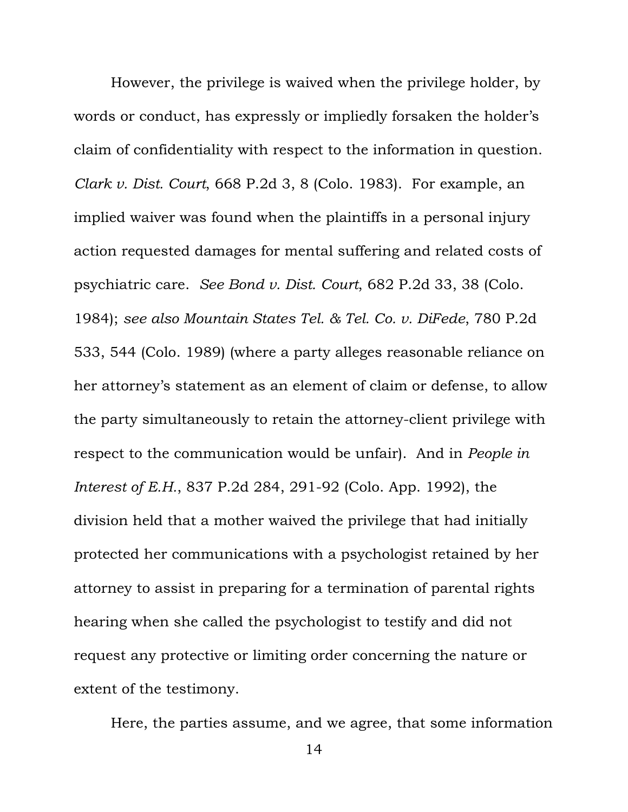However, the privilege is waived when the privilege holder, by words or conduct, has expressly or impliedly forsaken the holder's claim of confidentiality with respect to the information in question. *Clark v. Dist. Court*, 668 P.2d 3, 8 (Colo. 1983). For example, an implied waiver was found when the plaintiffs in a personal injury action requested damages for mental suffering and related costs of psychiatric care. *See Bond v. Dist. Court*, 682 P.2d 33, 38 (Colo. 1984); *see also Mountain States Tel. & Tel. Co. v. DiFede*, 780 P.2d 533, 544 (Colo. 1989) (where a party alleges reasonable reliance on her attorney's statement as an element of claim or defense, to allow the party simultaneously to retain the attorney-client privilege with respect to the communication would be unfair). And in *People in Interest of E.H.*, 837 P.2d 284, 291-92 (Colo. App. 1992), the division held that a mother waived the privilege that had initially protected her communications with a psychologist retained by her attorney to assist in preparing for a termination of parental rights hearing when she called the psychologist to testify and did not request any protective or limiting order concerning the nature or extent of the testimony.

Here, the parties assume, and we agree, that some information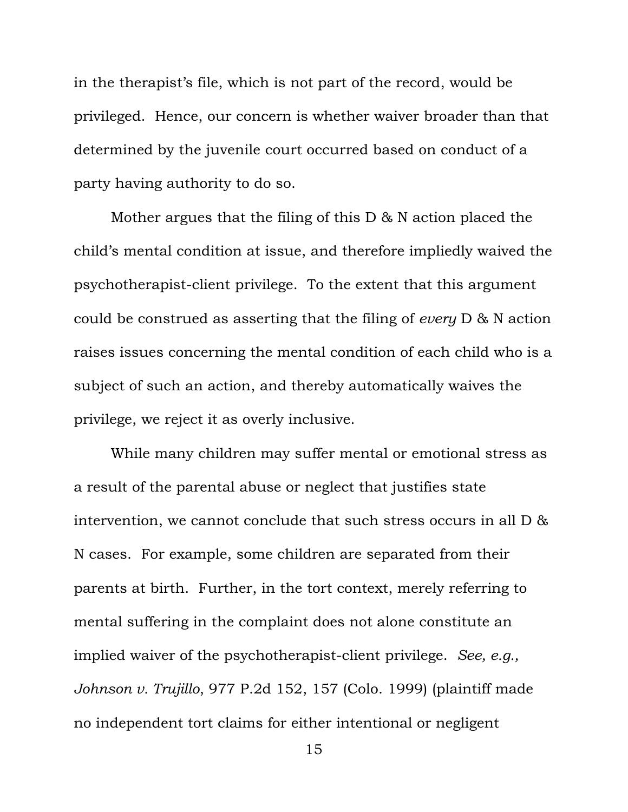in the therapist's file, which is not part of the record, would be privileged. Hence, our concern is whether waiver broader than that determined by the juvenile court occurred based on conduct of a party having authority to do so.

Mother argues that the filing of this D & N action placed the child's mental condition at issue, and therefore impliedly waived the psychotherapist-client privilege. To the extent that this argument could be construed as asserting that the filing of *every* D & N action raises issues concerning the mental condition of each child who is a subject of such an action, and thereby automatically waives the privilege, we reject it as overly inclusive.

While many children may suffer mental or emotional stress as a result of the parental abuse or neglect that justifies state intervention, we cannot conclude that such stress occurs in all D & N cases. For example, some children are separated from their parents at birth. Further, in the tort context, merely referring to mental suffering in the complaint does not alone constitute an implied waiver of the psychotherapist-client privilege. *See, e.g., Johnson v. Trujillo*, 977 P.2d 152, 157 (Colo. 1999) (plaintiff made no independent tort claims for either intentional or negligent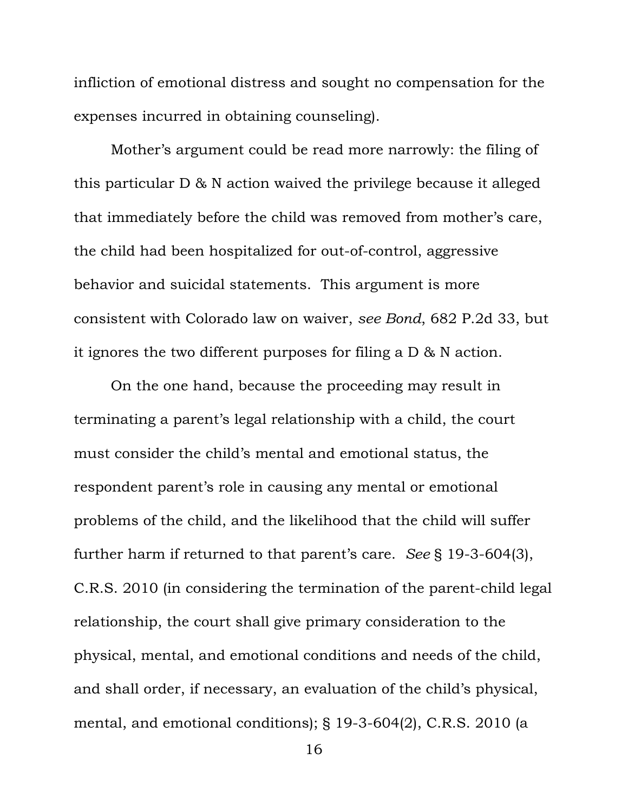infliction of emotional distress and sought no compensation for the expenses incurred in obtaining counseling).

Mother's argument could be read more narrowly: the filing of this particular D & N action waived the privilege because it alleged that immediately before the child was removed from mother's care, the child had been hospitalized for out-of-control, aggressive behavior and suicidal statements. This argument is more consistent with Colorado law on waiver, *see Bond*, 682 P.2d 33, but it ignores the two different purposes for filing a D & N action.

On the one hand, because the proceeding may result in terminating a parent's legal relationship with a child, the court must consider the child's mental and emotional status, the respondent parent's role in causing any mental or emotional problems of the child, and the likelihood that the child will suffer further harm if returned to that parent's care. *See* § 19-3-604(3), C.R.S. 2010 (in considering the termination of the parent-child legal relationship, the court shall give primary consideration to the physical, mental, and emotional conditions and needs of the child, and shall order, if necessary, an evaluation of the child's physical, mental, and emotional conditions); § 19-3-604(2), C.R.S. 2010 (a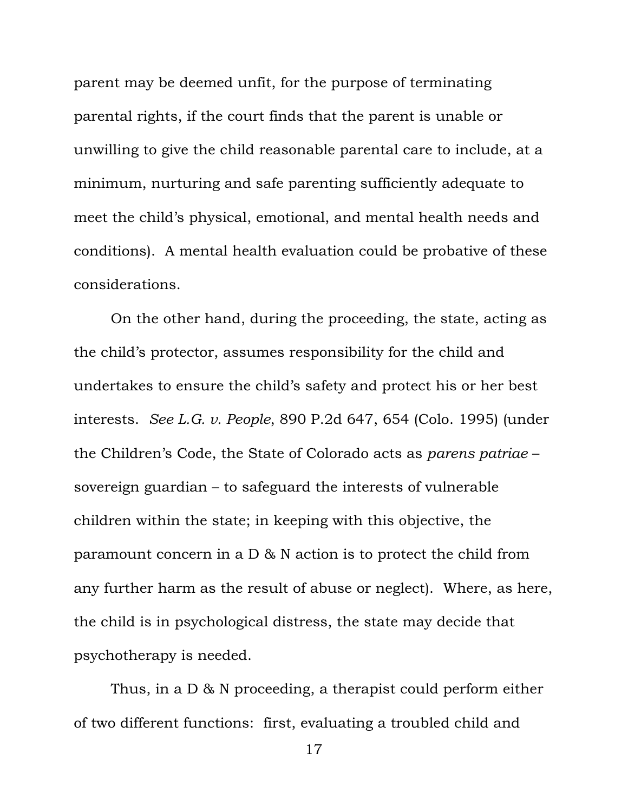parent may be deemed unfit, for the purpose of terminating parental rights, if the court finds that the parent is unable or unwilling to give the child reasonable parental care to include, at a minimum, nurturing and safe parenting sufficiently adequate to meet the child's physical, emotional, and mental health needs and conditions). A mental health evaluation could be probative of these considerations.

On the other hand, during the proceeding, the state, acting as the child's protector, assumes responsibility for the child and undertakes to ensure the child's safety and protect his or her best interests. *See L.G. v. People*, 890 P.2d 647, 654 (Colo. 1995) (under the Children's Code, the State of Colorado acts as *parens patriae* – sovereign guardian – to safeguard the interests of vulnerable children within the state; in keeping with this objective, the paramount concern in a D & N action is to protect the child from any further harm as the result of abuse or neglect). Where, as here, the child is in psychological distress, the state may decide that psychotherapy is needed.

Thus, in a D & N proceeding, a therapist could perform either of two different functions: first, evaluating a troubled child and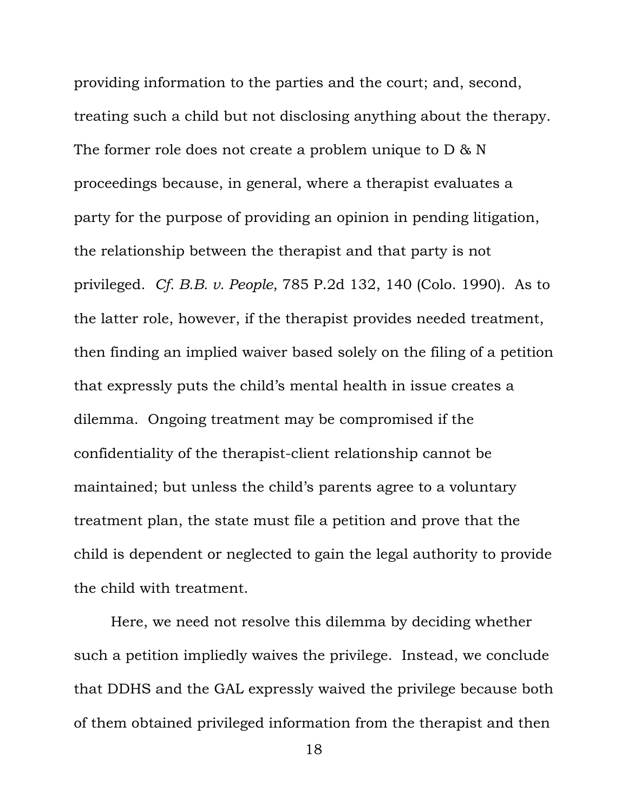providing information to the parties and the court; and, second, treating such a child but not disclosing anything about the therapy. The former role does not create a problem unique to D & N proceedings because, in general, where a therapist evaluates a party for the purpose of providing an opinion in pending litigation, the relationship between the therapist and that party is not privileged. *Cf. B.B. v. People*, 785 P.2d 132, 140 (Colo. 1990). As to the latter role, however, if the therapist provides needed treatment, then finding an implied waiver based solely on the filing of a petition that expressly puts the child's mental health in issue creates a dilemma. Ongoing treatment may be compromised if the confidentiality of the therapist-client relationship cannot be maintained; but unless the child's parents agree to a voluntary treatment plan, the state must file a petition and prove that the child is dependent or neglected to gain the legal authority to provide the child with treatment.

Here, we need not resolve this dilemma by deciding whether such a petition impliedly waives the privilege. Instead, we conclude that DDHS and the GAL expressly waived the privilege because both of them obtained privileged information from the therapist and then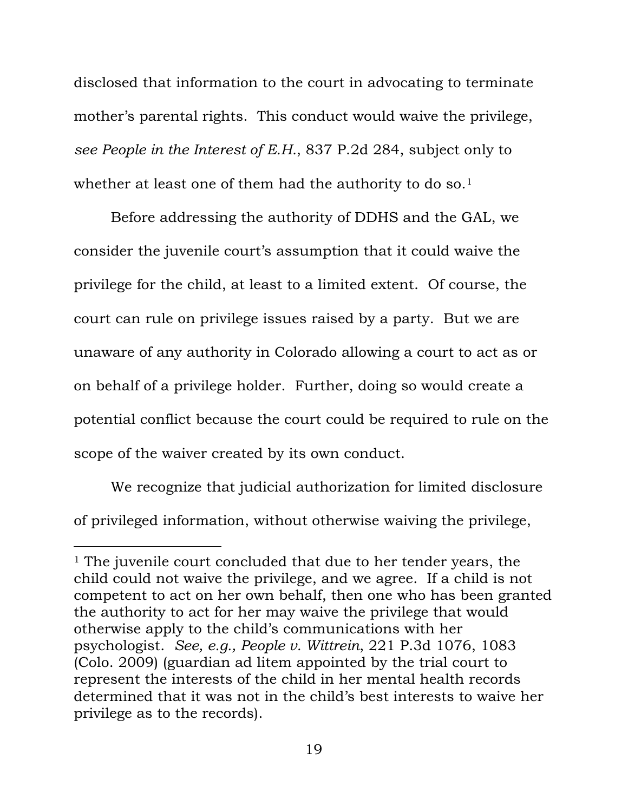disclosed that information to the court in advocating to terminate mother's parental rights. This conduct would waive the privilege, *see People in the Interest of E.H.*, 837 P.2d 284, subject only to whether at least one of them had the authority to do so.<sup>[1](#page-19-0)</sup>

Before addressing the authority of DDHS and the GAL, we consider the juvenile court's assumption that it could waive the privilege for the child, at least to a limited extent. Of course, the court can rule on privilege issues raised by a party. But we are unaware of any authority in Colorado allowing a court to act as or on behalf of a privilege holder. Further, doing so would create a potential conflict because the court could be required to rule on the scope of the waiver created by its own conduct.

We recognize that judicial authorization for limited disclosure of privileged information, without otherwise waiving the privilege,

i<br>Li

<span id="page-19-0"></span><sup>&</sup>lt;sup>1</sup> The juvenile court concluded that due to her tender years, the child could not waive the privilege, and we agree. If a child is not competent to act on her own behalf, then one who has been granted the authority to act for her may waive the privilege that would otherwise apply to the child's communications with her psychologist. *See, e.g., People v. Wittrein*, 221 P.3d 1076, 1083 (Colo. 2009) (guardian ad litem appointed by the trial court to represent the interests of the child in her mental health records determined that it was not in the child's best interests to waive her privilege as to the records).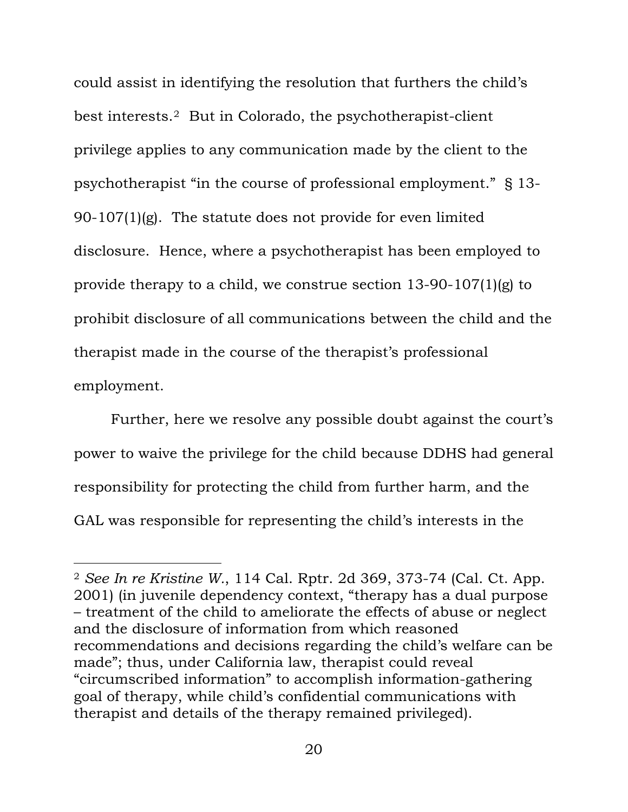could assist in identifying the resolution that furthers the child's best interests.[2](#page-20-0) But in Colorado, the psychotherapist-client privilege applies to any communication made by the client to the psychotherapist "in the course of professional employment." § 13- 90-107 $(1)(g)$ . The statute does not provide for even limited disclosure. Hence, where a psychotherapist has been employed to provide therapy to a child, we construe section 13-90-107(1)(g) to prohibit disclosure of all communications between the child and the therapist made in the course of the therapist's professional employment.

Further, here we resolve any possible doubt against the court's power to waive the privilege for the child because DDHS had general responsibility for protecting the child from further harm, and the GAL was responsible for representing the child's interests in the

i<br>Li

<span id="page-20-0"></span><sup>2</sup> *See In re Kristine W.*, 114 Cal. Rptr. 2d 369, 373-74 (Cal. Ct. App. 2001) (in juvenile dependency context, "therapy has a dual purpose – treatment of the child to ameliorate the effects of abuse or neglect and the disclosure of information from which reasoned recommendations and decisions regarding the child's welfare can be made"; thus, under California law, therapist could reveal "circumscribed information" to accomplish information-gathering goal of therapy, while child's confidential communications with therapist and details of the therapy remained privileged).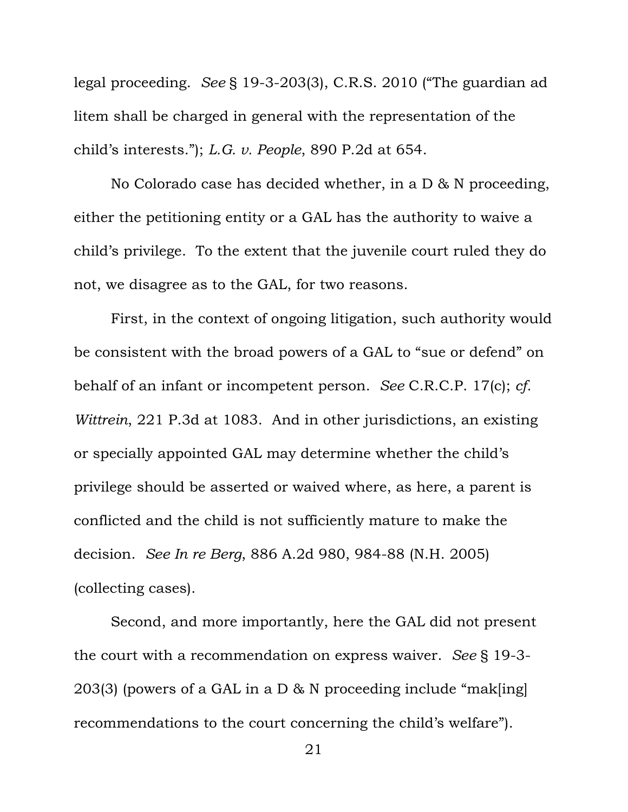legal proceeding. *See* § 19-3-203(3), C.R.S. 2010 ("The guardian ad litem shall be charged in general with the representation of the child's interests."); *L.G. v. People*, 890 P.2d at 654.

No Colorado case has decided whether, in a D & N proceeding, either the petitioning entity or a GAL has the authority to waive a child's privilege. To the extent that the juvenile court ruled they do not, we disagree as to the GAL, for two reasons.

First, in the context of ongoing litigation, such authority would be consistent with the broad powers of a GAL to "sue or defend" on behalf of an infant or incompetent person. *See* C.R.C.P. 17(c); *cf. Wittrein*, 221 P.3d at 1083. And in other jurisdictions, an existing or specially appointed GAL may determine whether the child's privilege should be asserted or waived where, as here, a parent is conflicted and the child is not sufficiently mature to make the decision. *See In re Berg*, 886 A.2d 980, 984-88 (N.H. 2005) (collecting cases).

Second, and more importantly, here the GAL did not present the court with a recommendation on express waiver. *See* § 19-3- 203(3) (powers of a GAL in a D & N proceeding include "mak[ing] recommendations to the court concerning the child's welfare").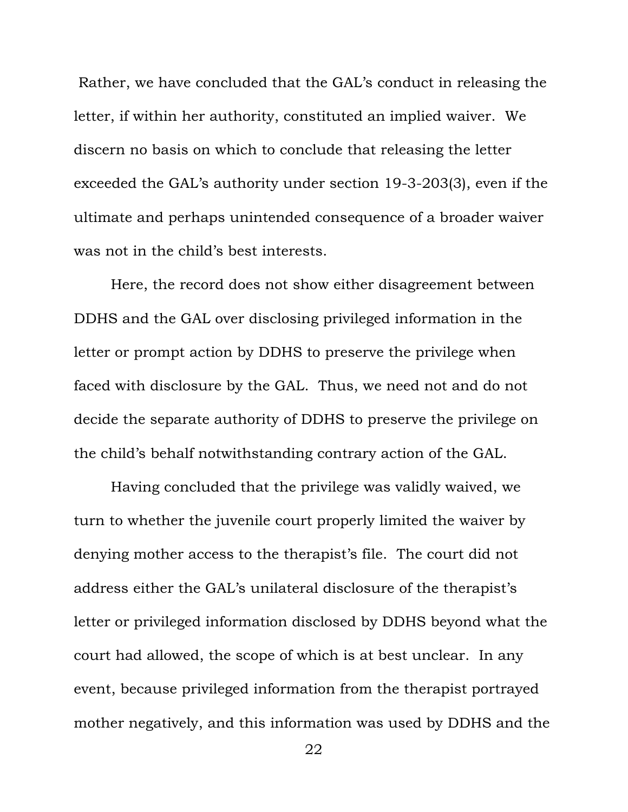Rather, we have concluded that the GAL's conduct in releasing the letter, if within her authority, constituted an implied waiver. We discern no basis on which to conclude that releasing the letter exceeded the GAL's authority under section 19-3-203(3), even if the ultimate and perhaps unintended consequence of a broader waiver was not in the child's best interests.

Here, the record does not show either disagreement between DDHS and the GAL over disclosing privileged information in the letter or prompt action by DDHS to preserve the privilege when faced with disclosure by the GAL. Thus, we need not and do not decide the separate authority of DDHS to preserve the privilege on the child's behalf notwithstanding contrary action of the GAL.

Having concluded that the privilege was validly waived, we turn to whether the juvenile court properly limited the waiver by denying mother access to the therapist's file. The court did not address either the GAL's unilateral disclosure of the therapist's letter or privileged information disclosed by DDHS beyond what the court had allowed, the scope of which is at best unclear. In any event, because privileged information from the therapist portrayed mother negatively, and this information was used by DDHS and the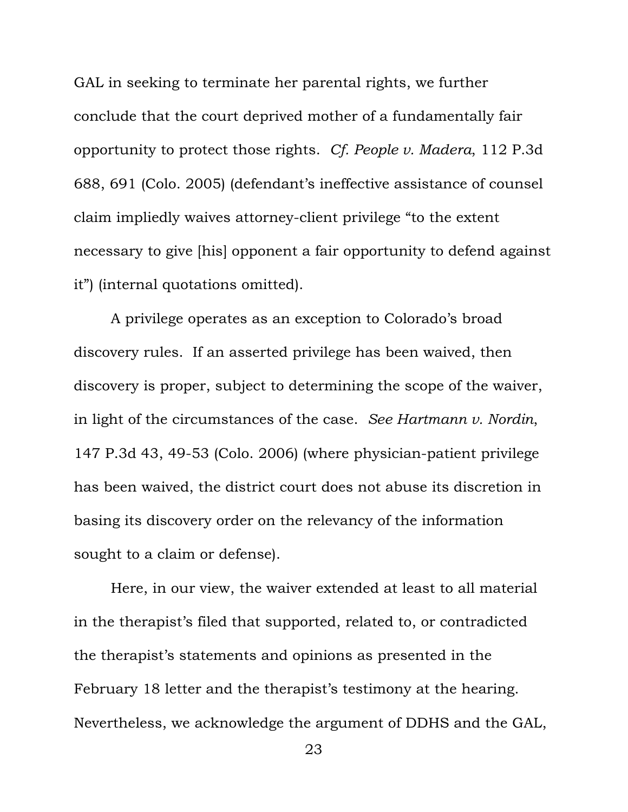GAL in seeking to terminate her parental rights, we further conclude that the court deprived mother of a fundamentally fair opportunity to protect those rights. *Cf. People v. Madera*, 112 P.3d 688, 691 (Colo. 2005) (defendant's ineffective assistance of counsel claim impliedly waives attorney-client privilege "to the extent necessary to give [his] opponent a fair opportunity to defend against it") (internal quotations omitted).

A privilege operates as an exception to Colorado's broad discovery rules. If an asserted privilege has been waived, then discovery is proper, subject to determining the scope of the waiver, in light of the circumstances of the case. *See Hartmann v. Nordin*, 147 P.3d 43, 49-53 (Colo. 2006) (where physician-patient privilege has been waived, the district court does not abuse its discretion in basing its discovery order on the relevancy of the information sought to a claim or defense).

Here, in our view, the waiver extended at least to all material in the therapist's filed that supported, related to, or contradicted the therapist's statements and opinions as presented in the February 18 letter and the therapist's testimony at the hearing. Nevertheless, we acknowledge the argument of DDHS and the GAL,

<sup>23</sup>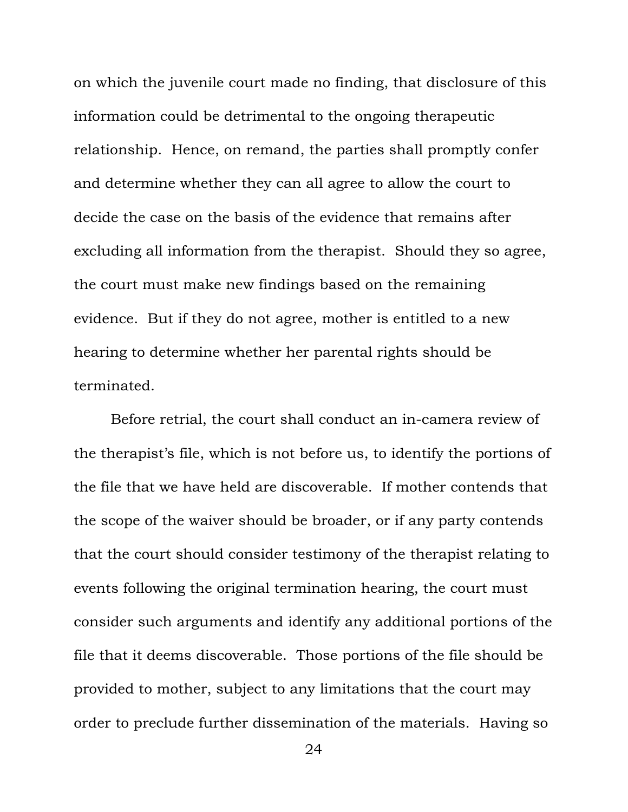on which the juvenile court made no finding, that disclosure of this information could be detrimental to the ongoing therapeutic relationship. Hence, on remand, the parties shall promptly confer and determine whether they can all agree to allow the court to decide the case on the basis of the evidence that remains after excluding all information from the therapist. Should they so agree, the court must make new findings based on the remaining evidence. But if they do not agree, mother is entitled to a new hearing to determine whether her parental rights should be terminated.

Before retrial, the court shall conduct an in-camera review of the therapist's file, which is not before us, to identify the portions of the file that we have held are discoverable. If mother contends that the scope of the waiver should be broader, or if any party contends that the court should consider testimony of the therapist relating to events following the original termination hearing, the court must consider such arguments and identify any additional portions of the file that it deems discoverable. Those portions of the file should be provided to mother, subject to any limitations that the court may order to preclude further dissemination of the materials. Having so